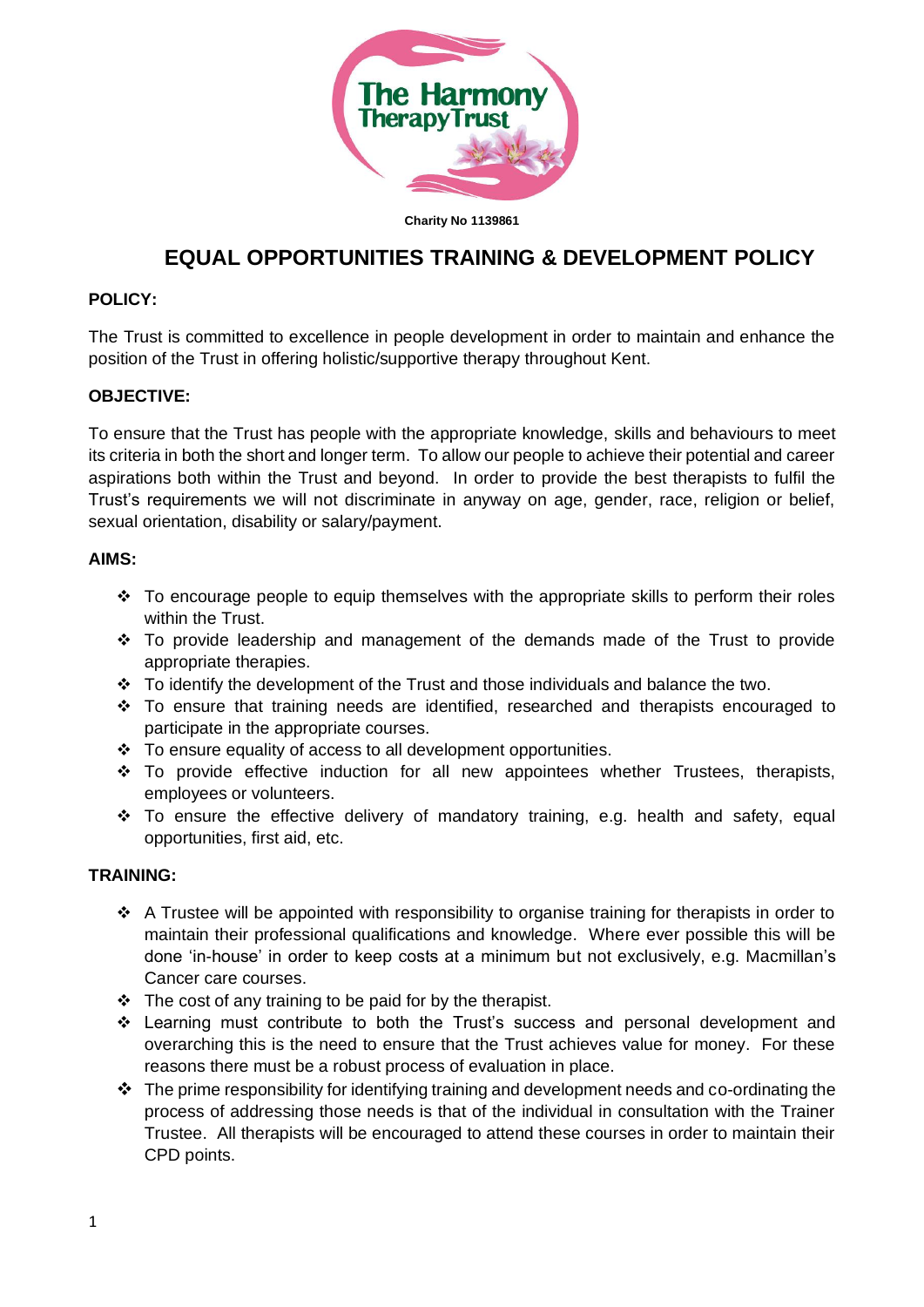

**Charity No 1139861**

# **EQUAL OPPORTUNITIES TRAINING & DEVELOPMENT POLICY**

## **POLICY:**

The Trust is committed to excellence in people development in order to maintain and enhance the position of the Trust in offering holistic/supportive therapy throughout Kent.

## **OBJECTIVE:**

To ensure that the Trust has people with the appropriate knowledge, skills and behaviours to meet its criteria in both the short and longer term. To allow our people to achieve their potential and career aspirations both within the Trust and beyond. In order to provide the best therapists to fulfil the Trust's requirements we will not discriminate in anyway on age, gender, race, religion or belief, sexual orientation, disability or salary/payment.

### **AIMS:**

- $\div$  To encourage people to equip themselves with the appropriate skills to perform their roles within the Trust.
- ❖ To provide leadership and management of the demands made of the Trust to provide appropriate therapies.
- ❖ To identify the development of the Trust and those individuals and balance the two.
- $\div$  To ensure that training needs are identified, researched and therapists encouraged to participate in the appropriate courses.
- ❖ To ensure equality of access to all development opportunities.
- ❖ To provide effective induction for all new appointees whether Trustees, therapists, employees or volunteers.
- ❖ To ensure the effective delivery of mandatory training, e.g. health and safety, equal opportunities, first aid, etc.

### **TRAINING:**

- ❖ A Trustee will be appointed with responsibility to organise training for therapists in order to maintain their professional qualifications and knowledge. Where ever possible this will be done 'in-house' in order to keep costs at a minimum but not exclusively, e.g. Macmillan's Cancer care courses.
- ❖ The cost of any training to be paid for by the therapist.
- ❖ Learning must contribute to both the Trust's success and personal development and overarching this is the need to ensure that the Trust achieves value for money. For these reasons there must be a robust process of evaluation in place.
- $\div$  The prime responsibility for identifying training and development needs and co-ordinating the process of addressing those needs is that of the individual in consultation with the Trainer Trustee. All therapists will be encouraged to attend these courses in order to maintain their CPD points.